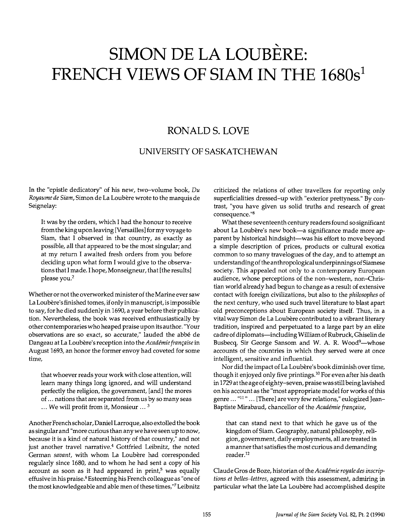## ' **SIMON DE LA LOUBERE:**  FRENCH VIEWS OF SIAM IN THE  $1680s<sup>1</sup>$

## RONALD S. LOVE

## UNIVERSITY OF SASKATCHEWAN

In the "epistle dedicatory" of his new, two-volume book, *Du Royaume de Siam,* Simon de La Loubere wrote to the marquis de Seignelay:

It was by the orders, which I had the honour to receive from the king upon leaving [Versailles] for my voyage to Siam, that I observed in that country, as exactly as possible, all that appeared to be the most singular; and at my return I awaited fresh orders from you before deciding upon what form I would give to the observations that I made. I hope, Monseigneur, that [the results] please you.2

Whether or not the overworked minister of the Marine ever saw La Loubere's finished tomes, if only in manuscript, is impossible to say, for he died suddenly in 1690, a year before their publication. Nevertheless, the book was received enthusiastically by other contemporaries who heaped praise upon its author. "Your observations are so exact, so accurate," lauded the abbe de Dangeau at La Loubère's reception into the *Académie française* in August 1693, an honor the former envoy had coveted for some time,

that whoever reads your work with close attention, will learn many things long ignored, and will understand perfectly the religion, the government, [and] the mores of ... nations that are separated from us by so many seas ... We will profit from it, Monsieur ... 3

Another French scholar, Daniel Larroque, also extolled the book as singular and "more curious than any we have seen up to now, because it is a kind of natural history of that country," and not just another travel narrative.<sup>4</sup> Gottfried Leibnitz, the noted German *savant,* with whom La Loubere had corresponded regularly since 1680, and to whom he had sent a copy of his account as soon as it had appeared in  $print<sup>5</sup>$  was equally effusive in his praise. 6 Esteeming his French colleague as "one of the most knowledgeable and able men of these times,"7Leibnitz

criticized the relations of other travellers for reporting only superficialities dressed-up with "exterior prettyness." By contrast, "you have given us solid truths and research of great consequence. "8

What these seventeenth century readers found so significant about La Loubère's new book-a significance made more apparent by historical hindsight-was his effort to move beyond a simple description of prices, products or cultural exotica common to so many travelogues of the day, and to attempt an understanding of the anthropological underpinnings of Siamese society. This appealed not only to a contemporary European audience, whose perceptions of the non-western, non-Christian world already had begun to change as a result of extensive contact with foreign civilizations, but also to the *philosophes* of the next century, who used such travel literature to blast apart old preconceptions about European society itself. Thus, in a vital way Simon de La Loubere contributed to a vibrant literary tradition, inspired and perpetuated to a large part by an elite cadre of diplomats-including William of Rubruck, Ghiselin de Busbecq, Sir George Sansom and W. A. R. Wood<sup>9</sup>-whose accounts of the countries in which they served were at once intelligent, sensitive and influential.

Nor did the impact of La Loubere's book diminish over time, though it enjoyed only five printings.<sup>10</sup> For even after his death in 1729 at the age of eighty-seven, praise was still being lavished on his account as the "most appropriate model for works of this genre ... "<sup>11</sup>" ... [There] are very few relations," eulogized Jean-Baptiste Mirabaud, chancellor of the *Académie française*,

that can stand next to that which he gave us of the kingdom of Siam. Geography, natural philosophy, religion, government, daily employments, all are treated in a manner that satisfies the most curious and demanding reader.<sup>12</sup>

Claude Gros de Boze, historian of the *Académie royale des inscriptions et belles-lettres,* agreed with this assessment, admiring in particular what the late La Loubere had accomplished despite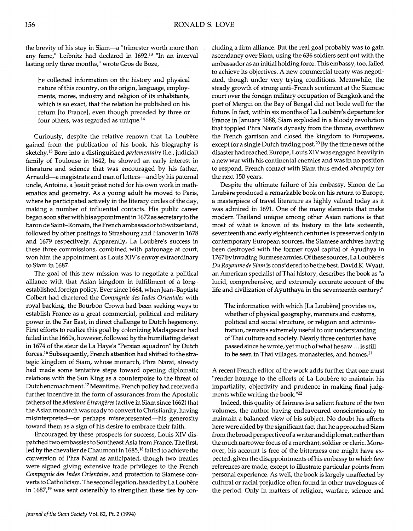the brevity of his stay in Siam-a "trimester worth more than any fame," Leibnitz had declared in 1692\_13 "In an interval lasting only three months," wrote Gros de Boze,

he collected information on the history and physical nature of this country, on the origin, language, employments, mores, industry and religion of its inhabitants, which is so exact, that the relation he published on his return [to France], even though preceded by three or four others, was regarded as unique.14

Curiously, despite the relative renown that La Loubere gained from the publication of his book, his biography is sketchy.15 Born into a distinguished *parlementaire* (i.e., judicial) family of Toulouse in 1642, he showed an early interest in literature and science that was encouraged by his father, Arnauld-a magistrate and man of letters-and by his paternal uncle, Antoine, a Jesuit priest noted for his own work in mathematics and geometry. As a young adult he moved to Paris, where he participated actively in the literary circles of the day, making a number of influential contacts. His public career began soon after with his appointment in 1672 as secretary to the baron de Saint-Romain, the French ambassador to Switzerland, followed by other postings to Strasbourg and Hanover in 1678 and 1679 respectively. Apparently, La Loubere's success in these three commissions, combined with patronage at court, won him the appointment as Louis XIV's envoy extraordinary to Siam in 1687.

The goal of this new mission was to negotiate a political alliance with that Asian kingdom in fulfillment of a longestablished foreign policy. Ever since 1664, when Jean-Baptiste Colbert had chartered the *Compagnie des Indes Orientales* with royal backing, the Bourbon Crown had been seeking ways to establish France as a great commercial, political and military power in the Far East, in direct challenge to Dutch hegemony. First efforts to realize this goal by colonizing Madagascar had failed in the 1660s, however, followed by the humiliating defeat in 1674 of the sieur de La Haye's "Persian squadron" by Dutch forces.16 Subsequently, French attention had shifted to the strategic kingdom of Siam, whose monarch, Phra Narai, already had made some tentative steps toward opening diplomatic relations with the Sun King as a counterpoise to the threat of Dutch encroachment.17Meantime, French policy had received a further incentive in the form of assurances from the Apostolic fathers of the Missions *Etrangeres* (active in Siam since 1662) that the Asian monarch was ready to convert to Christianity, having misinterpreted-or perhaps misrepresented-his generosity toward them as a sign of his desire to embrace their faith.

Encouraged by these prospects for success, Louis XIV dispatched two embassies to Southeast Asia from France. The first, led by the chevalier de Chaumont in 1685,<sup>18</sup> failed to achieve the conversion of Phra Narai as anticipated, though two treaties were signed giving extensive trade privileges to the French *Compagnie des Indes Orientales,* and protection to Siamese converts to Catholicism. The second legation, headed by La Loubere in 1687,<sup>19</sup> was sent ostensibly to strengthen these ties by coneluding a firm alliance. But the real goal probably was to gain ascendancy over Siam, using the 636 soldiers sent out with the ambassador as an initial holding force. This embassy, too, failed to achieve its objectives. A new commercial treaty was negotiated, though under very trying conditions. Meanwhile, the steady growth of strong anti-French sentiment at the Siamese court over the foreign military occupation of Bangkok and the port of Mergui on the Bay of Bengal did not bode well for the future. In fact, within six months of La Loubere's departure for France in January 1688, Siam exploded in a bloody revolution that toppled Phra Narai's dynasty from the throne, overthrew the French garrison and closed the kingdom to Europeans, except for a single Dutch trading post.<sup>20</sup> By the time news of the disaster had reached Europe, Louis XIV was engaged heavily in a new war with his continental enemies and was in no position to respond. French contact with Siam thus ended abruptly for the next 150 years.

Despite the ultimate failure of his embassy, Simon de La Loubère produced a remarkable book on his return to Europe, a masterpiece of travel literature as highly valued today as it was admired in 1691. One of the many elements that make modem Thailand unique among other Asian nations is that most of what is known of its history in the late sixteenth, seventeenth and early eighteenth centuries is preserved only in contemporary European sources, the Siamese archives having been destroyed with the former royal capital of Ayudhya in 1767 by invading Burmese armies. Of these sources, La Loubère's *Du Royaumede Siam* is considered to be the best. David K. Wyatt, an American specialist of Thai history, describes the book as "a lucid, comprehensive, and extremely accurate account of the life and civilization of Ayutthaya in the seventeenth century:"

The information with which [La Loubere] provides us, whether of physical geography, manners and customs, political and social structure, or religion and administration, remains extremely useful to our understanding of Thai culture and society. Nearly three centuries have passed since he wrote, yet much of what he saw ... is still to be seen in Thai villages, monasteries, and homes.<sup>21</sup>

A recent French editor of the work adds further that one must "render homage to the efforts of La Loubere to maintain his impartiality, objectivity and prudence in making final judgments while writing the book."<sup>22</sup>

Indeed, this quality of fairness is a salient feature of the two volumes, the author having endeavoured conscientiously to maintain a balanced view of his subject. No doubt his efforts here were aided by the significant fact that he approached Siam from the broad perspective of a writer and diplomat, rather than the much narrower focus of a merchant, soldier or cleric. Moreover, his account is free of the bitterness one might have expected, given the disappointments of his embassy to which few references are made, except to illustrate particular points from personal experience. As well, the book is largely unaffected by cultural or racial prejudice often found in other travelogues of the period. Only in matters of religion, warfare, science and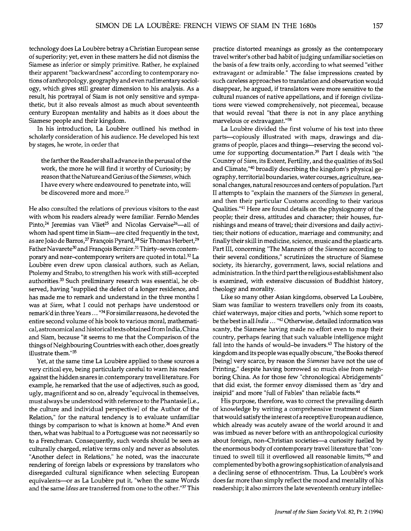technology does La Loubere betray a Christian European sense of superiority; yet, even in these matters he did not dismiss the Siamese as inferior or simply primitive. Rather, he explained their apparent "backwardness" according to contemporary notions of anthropology, geography and even rudimentary sociology, which gives still greater dimension to his analysis. As a result, his portrayal of Siam is not only sensitive and sympathetic, but it also reveals almost as much about seventeenth century European mentality and habits as it does about the Siamese people and their kingdom.

In his introduction, La Loubere outlined his method in scholarly consideration of his audience. He developed his text by stages, he wrote, in order that

the farther the Reader shall advance in the perusal of the work, the more he will find it worthy of Curiosity; by reason thattheNatureand Genius of the *Siameses,* which I have every where endeavoured to penetrate into, will be discovered more and more.<sup>23</sup>

He also consulted the relations of previous visitors to the east with whom his readers already were familiar. Fernão Mendes Pinto,<sup>24</sup> Jeremias van Vliet<sup>25</sup> and Nicolas Gervaise<sup>26</sup>-all of whom had spent time in Siam-are cited frequently in the text, as are João de Barros, <sup>27</sup> François Pyrard, <sup>28</sup> Sir Thomas Herbert, <sup>29</sup> Father Navarete<sup>30</sup> and François Bernier.<sup>31</sup> Thirty-seven contemporary and near-contemporary writers are quoted in totai.32 La Loubère even drew upon classical authors, such as Aelian, Ptolemy and Strabo, to strengthen his work with still-accepted authorities.33 Such preliminary research was essential, he observed, having "supplied the defect of a longer residence, and has made me to remark and understand in the three months I was at *Siam,* what I could not perhaps have understood or remark'd in three Years ... "34 For similar reasons, he devoted the entire second volume of his book to various moral, mathematical, astronomical and historical texts obtained from India, China and Siam, because "it seems to me that the Comparison of the things of Neighbouring Countries with each other, does greatly illustrate them."35

Yet, at the same time La Loubere applied to these sources a very critical eye, being particularly careful to warn his readers against the hidden snares in contemporary travel literature. For example, he remarked that the use of adjectives, such as good, ugly, magnificent and so on, already "equivocal in themselves, must always be understood with reference to the Phantasie [i.e., the culture and individual perspective] of the Author of the Relation," for the natural tendency is to evaluate unfamiliar things by comparison to what is known at home. $36$  And even then, what was habitual to a Portuguese was not necessarily so to a Frenchman. Consequently, such words should be seen as culturally charged, relative terms only and never as absolutes. "Another defect in Relations," he noted, was the inaccurate rendering of foreign labels or expressions by translators who disregarded cultural significance when selecting European equivalents-or as La Loubère put it, "when the same Words and the same *Ideas* are transferred from one to the other."37 This

practice distorted meanings as grossly as the contemporary travel writer's other bad habit of judging unfamiliar societies on the basis of a few traits only, according to what seemed "either extravagant or admirable." The false impressions created by such careless approaches to translation and observation would disappear, he argued, if translators were more sensitive to the cultural nuances of native appellations, and if foreign civilizations were viewed comprehensively, not piecemeal, because that would reveal "that there is not in any place anything marvelous or extravagant."38

La Loubere divided the first volume of his text into three parts-copiously illustrated with maps, drawings and diagrams of people, places and things-reserving the second volume for supporting documentation.<sup>39</sup> Part I deals with "the Country of *Siam,* its Extent, Fertility, and the qualities of its Soil and Climate,"40 broadly describing the kingdom's physical geography, territorial boundaries, water courses, agriculture, seasonal changes, natural resources and centers of population. Part II attempts to "explain the manners of the *Siameses* in general, and then their particular Customs according to their various Qualities."41 Here are found details on the physiognomy of the people; their dress, attitudes and character; their houses, furnishings and means of travel; their diversions and daily activities; their notions of education, marriage and community; and finally their skill in medicine, science, music and the plastic arts. Part III, concerning "The Manners of the *Siameses* according to their several conditions," scrutinizes the structure of Siamese society, its hierarchy, government, laws, social relations and administration. In the third part the religious establishment also is examined, with extensive discussion of Buddhist history, theology and morality.

Like so many other Asian kingdoms, observed La Loubere, Siam was familiar to western travellers only from its coasts, chief waterways, major cities and ports, "which some report to be the best in all *India* ... "42 Otherwise, detailed information was scanty, the Siamese having made no effort even to map their country, perhaps fearing that such valuable intelligence might fall into the hands of would-be invaders.<sup>43</sup> The history of the kingdom and its people was equally obscure, "the Books thereof [being] very scarce, by reason the *Siameses* have not the use of Printing," despite having borrowed so much else from neighboring China. As for those few "chronological Abridgements" that did exist, the former envoy dismissed them as "dry and insipid" and more "full of Fables" than reliable facts.<sup>44</sup>

His purpose, therefore, was to correct the prevailing dearth of knowledge by writing a comprehensive treatment of Siam that would satisfy the interest of a receptive European audience, which already was acutely aware of the world around it and was imbued as never before with an anthropological curiosity about foreign, non-Christian societies-a curiosity fuelled by the enormous body of contemporary travel literature that "continued to swell till it overflowed all reasonable limits,"45 and complemented by both a growing sophistication of analysis and a declining sense of ethnocentrism. Thus, La Loubere's work does far more than simply reflect the mood and mentality of his readership; it also mirrors the late seventeenth century intellec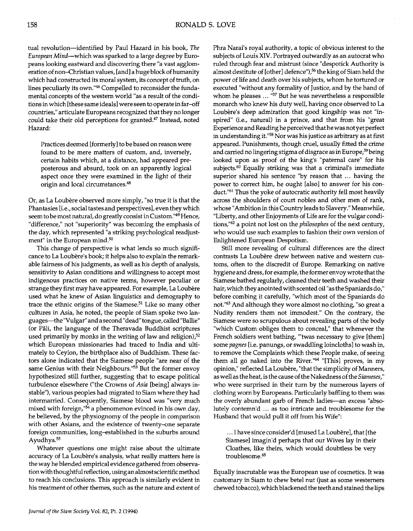tual revolution-identified by Paul Hazard in his book, *The European* Mind-which was sparked to a large degree by Europeans looking eastward and discovering there "a vast agglomeration of non-Christian values, [and] a huge block of humanity which had constructed its moral system, its concept of truth, on lines peculiarly its own."46 Compelled to reconsider the fundamental concepts of the western world "as a result of the conditions in which [these same ideals] were seen to operate in far-off countries," articulate Europeans recognized that they no longer could take their old perceptions for granted.47 Instead, noted Hazard:

Practices deemed [formerly] to be based on reason were found to be mere matters of custom, and, inversely, certain habits which, at a distance, had appeared preposterous and absurd, took on an apparently logical aspect once they were examined in the light of their origin and local circumstances.48

Or, as La Loubere observed more simply, "so true it is that the Phantasies [i.e., social tastes and perspectives], even they which seem to be most natural, do greatly consist in Custom."49 Hence, "difference," not "superiority" was becoming the emphasis of the day, which represented "a striking psychological readjustment" in the European mind.<sup>50</sup>

This change of perspective is what lends so much significance to La Loubere's book; it helps also to explain the remarkable fairness of his judgments, as well as his depth of analysis, sensitivity to Asian conditions and willingness to accept most indigenous practices on native terms, however peculiar or strange they first may have appeared. For example, La Loubere used what he knew of Asian linguistics and demography to trace the ethnic origins of the Siamese.51 Like so many other cultures in Asia, he noted, the people of Siam spoke two languages-the "Vulgar" and a second "dead" tongue, called "Ballie" (or Pali, the language of the Theravada Buddhist scriptures used primarily by monks in the writing of law and religion), $52$ which European missionaries had traced to India and ultimately to Ceylon, the birthplace also of Buddhism. These factors alone indicated that the Siamese people "are near of the same Genius with their Neighbours."53 But the former envoy hypothesized still further, suggesting that to escape political turbulence elsewhere ("the Crowns of *Asia* [being] always instable"), various peoples had migrated to Siam where they had intermarried. Consequently, Siamese blood was "very much mixed with foreign,"54 a phenomenon evinced in his own day, he believed, by the physiognomy of the people in comparison with other Asians, and the existence of twenty-one separate foreign communities, long-established in the suburbs around Ayudhya.55

Whatever questions one might raise about the ultimate accuracy of La Loubere's analysis, what really matters here is the way he blended empirical evidence gathered from observation with thoughtful reflection, using an almost scientific method to reach his conclusions. This approach is similarly evident in his treatment of other themes, such as the nature and extent of

Phra Narai's royal authority, a topic of obvious interest to the subjects of Louis XIV. Portrayed outwardly as an autocrat who ruled through fear and mistrust (since "despotick Authority is almost destitute of [other] defence"),<sup>56</sup> the king of Siam held the power of life and death over his subjects, whom he tortured or executed "without any formality of Justice, and by the hand of whom he pleases ... "<sup>57</sup> But he was nevertheless a responsible monarch who knew his duty well, having once observed to La Loubère's deep admiration that good kingship was not "inspired" (i.e., natural) in a prince, and that from his "great Experience and Reading he perceived that he was not yet perfect in understanding it."58 Nor was his justice as arbitrary as at first appeared. Punishments, though cruel, usually fitted the crime and carried no lingering stigma of disgrace as in Europe,59 being looked upon as proof of the king's "paternal care" for his subjects.<sup>60</sup> Equally striking was that a criminal's immediate superior shared his sentence "by reason that ... having the power to correct him, he ought [also] to answer for his conduct."61 Thus the yoke of autocratic authority fell most heavily across the shoulders of court nobles and other men of rank, whose "Ambition in this Country leads to Slavery." Meanwhile, "Liberty, and other Enjoyments of Life are for the vulgar conditions,"62 a point not lost on the *philosophes* of the next century, who would use such examples to fashion their own version of Enlightened European Despotism.

Still more revealing of cultural differences are the direct contrasts La Loubere drew between native and western customs, often to the discredit of Europe. Remarking on native hygiene and dress, for example, the former envoy wrote that the Siamese bathed regularly, cleaned their teeth and washed their hair, which they anointed with scented oil "as the Spaniards do," before combing it carefully, "which most of the Spaniards do not."63 And although they wore almost no clothing, "so great a Nudity renders them not immodest." On the contrary, the Siamese were so scrupulous about revealing parts of the body "which Custom obliges them to conceal," that whenever the French soldiers went bathing, "'twas necessary to give [them] some *pagnes* [i.e. panungs, or swaddling loincloths] to wash in, to remove the Complaints which these People make, of seeing them all go naked into the River."64 "[This] proves, in my opinion," reflected La Loubere, "that the simplicity of Manners, as well as the heat, is the cause of the Nakedness of the *Siameses,"*  who were surprised in their turn by the numerous layers of clothing worn by Europeans. Particularly baffling to them was the overly abundant garb of French ladies-an excess "absolutely contemn'd ... as too intricate and troublesome for the Husband that would pull it off from his Wife":

... I have since consider'd [mused La Loubere], that [the Siamese] imagin'd perhaps that our Wives lay in their Cloathes, like theirs, which would doubtless be very troublesome.<sup>65</sup>

Equally inscrutable was the European use of cosmetics. It was customary in Siam to chew betel nut (just as some westerners chewed tobacco), which blackened the teeth and stained the lips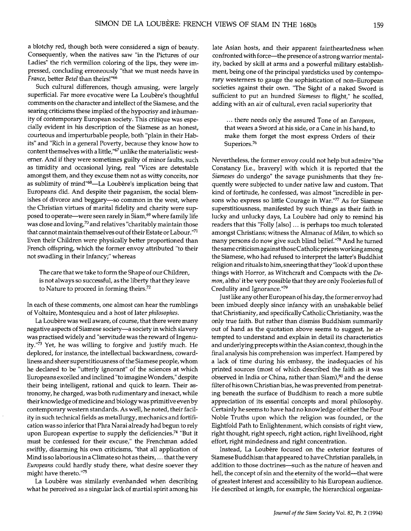a blotchy red, though both were considered a sign of beauty. Consequently, when the natives saw "in the Pictures of our Ladies" the rich vermilion coloring of the lips, they were impressed, concluding erroneously "that we must needs have in *France,* better *Betel* than theirs!"66

Such cultural differences, though amusing, were largely superficial. Far more evocative were La Loubere's thoughtful comments on the character and intellect of the Siamese, and the searing criticisms these implied of the hypocrisy and inhumanity of contemporary European society. This critique was especially evident in his description of the Siamese as an honest, courteous and imperturbable people, both "plain in their Habits" and "Rich in a general Poverty, because they know how to content themselves with a little,"67 unlike the materialistic westerner. And if they were sometimes guilty of minor faults, such as timidity and occasional lying, real "Vices are detestable amongst them, and they excuse them not as witty conceits, nor as sublimity of mind"<sup>68</sup>-La Loubère's implication being that Europeans did. And despite their paganism, the social blemishes of divorce and beggary-so common in the west, where the Christian virtues of marital fidelity and charity were supposed to operate-were seen rarely in Siam,<sup>69</sup> where family life was close and loving,<sup>70</sup> and relatives "charitably maintain those that cannot maintain themselves out of their Estate or Labour. "71 Even their Children were physically better proportioned than French offspring, which the former envoy attributed "to their not swadling in their Infancy;" whereas

The care that we take to form the Shape of our Children, is not always so successful, as the liberty that they leave to Nature to proceed in forming theirs.72

In each of these comments, one almost can hear the rumblings of Voltaire, Montesquieu and a host of later *philosophes.* 

La Loubère was well aware, of course, that there were many negative aspects of Siamese society-a society in which slavery was practised widely and "servitude was the reward of Ingenuity."<sup>73</sup> Yet, he was willing to forgive and justify much. He deplored, for instance, the intellectual backwardness, cowardliness and sheer superstitiousness of the Siamese people, whom he declared to be "utterly ignorant" of the sciences at which Europeans excelled and inclined "to imagine Wonders," despite their being intelligent, rational and quick to learn. Their astronomy, he charged, was both rudimentary and inexact, while their knowledge of medicine and biology was primitive even by contemporary western standards. As well, he noted, their facility in such technical fields as metallurgy, mechanics and fortification was so inferior that Phra Narai already had begun to rely upon European expertise to supply the deficiencies.<sup>74</sup> "But it must be confessed for their excuse," the Frenchman added swiftly, disarming his own criticisms, "that all application of Mind is so laborious in a Climate so hot as theirs, ... that the very *Europeans* could hardly study there, what desire soever they might have thereto. "75

La Loubère was similarly evenhanded when describing what he perceived as a singular lack of martial spirit among his late Asian hosts, and their apparent faintheartedness when confronted with force—the presence of a strong warrior mentality, backed by skill at arms and a powerful military establishment, being one of the principal yardsticks used by contemporary westerners to gauge the sophistication of non-European societies against their own. "The Sight of a naked Sword is sufficient to put an hundred *Siameses* to flight," he scoffed, adding with an air of cultural, even racial superiority that

... there needs only the assured Tone of an *European,*  that wears a Sword at his side, or a Cane in his hand, to make them forget the most express Orders of their Superiors.<sup>76</sup>

Nevertheless, the former envoy could not help but admire "the Constancy [i.e., bravery] with which it is reported that the *Siameses* do undergo" the savage punishments that they frequently were subjected to under native law and custom. That kind of fortitude, he confessed, was almost "incredible in persons who express so little Courage in War."77 As for Siamese superstitiousness, manifested by such things as their faith in lucky and unlucky days, La Loubere had only to remind his readers that this "Folly [also] ... is perhaps too much tolerated amongst Christians; witness the Almanac of *Milan,* to which so many persons do now give such blind belief."78 And he turned the same criticism against those Catholic priests working among the Siamese, who had refused to interpret the latter's Buddhist religion and rituals to him, sneering that they "look'd upon these things with Horror, as Witchcraft and Compacts with the *Demon,* altho' it be very possible that they are only Fooleries full of Credulity and Ignorance."79

Just like any other European of his day, the former envoy had been imbued deeply since infancy with an unshakable belief that Christianity, and specifically Catholic Christianity, was the only true faith. But rather than dismiss Buddhism summarily out of hand as the quotation above seems to suggest, he attempted to understand and explain in detail its characteristics and underlying precepts within the Asian context, though in the final analysis his comprehension was imperfect. Hampered by a lack of time during his embassy, the inadequacies of his printed sources (most of which described the faith as it was observed in India or China, rather than Siam),<sup>80</sup> and the dense filter of his own Christian bias, he was prevented from penetrating beneath the surface of Buddhism to reach a more subtle appreciation of its essential concepts and moral philosophy. Certainly he seems to have had no knowledge of either the Four Noble Truths upon which the religion was founded, or the Eightfold Path to Enlightenment, which consists of right view, right thought, right speech, right action, right livelihood, right effort, right mindedness and right concentration.

Instead, La Loubère focused on the exterior features of Siamese Buddhism that appeared to have Christian parallels, in addition to those doctrines-such as the nature of heaven and hell, the concept of sin and the eternity of the world--that were of greatest interest and accessibility to his European audience. He described at length, for example, the hierarchical organiza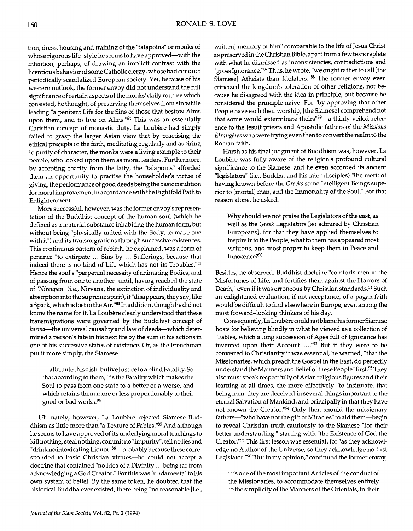tion, dress, housing and training of the "talapoins" or monks of whose rigorous life-style he seems to have approved-with the intention, perhaps, of drawing an implicit contrast with the licentious behavior of some Catholic clergy, whose bad conduct periodically scandalized European society. Yet, because of his western outlook, the former envoy did not understand the full significance of certain aspects of the monks' daily routine which consisted, he thought, of preserving themselves from sin while leading "a penitent Life for the Sins of those that bestow Alms upon them, and to live on Alms."<sup>81</sup> This was an essentially Christian concept of monastic duty. La Loubere had simply failed to grasp the larger Asian view that by practising the ethical precepts of the faith, meditating regularly and aspiring to purity of character, the monks were a living example to their people, who looked upon them as moral leaders. Furthermore, by accepting charity from the laity, the "talapoins" afforded them an opportunity to practise the householder's virtue of giving, the performance of good deeds being the basic condition formoralimprovementinaccordancewith the Eightfold Path to Enlightenment.

More successful, however, was the former envoy's representation of the Buddhist concept of the human soul (which he defined as a material substance inhabiting the human form, but without being "physically united with the Body, to make one with it") and its transmigrations through successive existences. This continuous pattern of rebirth, he explained, was a form of penance "to extirpate ... Sins by ... Sufferings, because that indeed there is no kind of Life which has not its Troubles. "82 Hence the soul's "perpetual necessity of animating Bodies, and of passing from one to another" until, having reached the state of *"Nireupan"* (i.e., Nirvana, the extinction of individuality and absorption into the supreme spirit), it "disappears, they say, like a Spark, which is lost in the Air. "83 In addition, though he did not know the name for it, La Loubere clearly understood that these transmigrations were governed by the Buddhist concept of karma-the universal causality and law of deeds-which determined a person's fate in his next life by the sum of his actions in one of his successive states of existence. Or, as the Frenchman put it more simply, the Siamese

... attribute this distributive Justice to a blind Fatality. So that according to them, 'tis the Fatality which makes the Soul to pass from one state to a better or a worse, and which retains them more or less proportionably to their good or bad works.84

Ultimately, however, La Loubere rejected Siamese Buddhism as little more than "a Texture of Fables. "85 And although he seems to have approved of its underlying moral teachings to kill nothing, steal nothing, commit no "impurity", tell no lies and "drink no intoxicating Liquor"86-probably because these corresponded to basic Christian virtues-he could not accept a doctrine that contained "no Idea of a Divinity ... being far from acknowledging a God Creator." For this was fundamental to his own system of belief. By the same token, he doubted that the historical Buddha ever existed, there being "no reasonable [i.e.,

written] memory of him" comparable to the life of Jesus Christ as preserved in the Christian Bible, apart from a few texts replete with what he dismissed as inconsistencies, contradictions and "gross Ignorance."<sup>87</sup> Thus, he wrote, "we ought rather to call [the Siamese] Atheists than Idolaters."88 The former envoy even criticized the kingdom's toleration of other religions, not because he disagreed with the idea in principle, but because he considered the principle naive. For "by approving that other People have each their worship, [the Siamese] comprehend not that some would exterminate theirs"89-a thinly veiled reference to the Jesuit priests and Apostolic fathers of the *Missions Etrangeres* who were trying even then to convert the realm to the Roman faith.

Harsh as his final judgment of Buddhism was, however, La Loubère was fully aware of the religion's profound cultural significance to the Siamese, and he even accorded its ancient "legislators" (i.e., Buddha and his later disciples) "the merit of having known before the *Greeks* some Intelligent Beings superior to [mortal] man, and the Immortality of the Soul." For that reason alone, he asked:

Why should we not praise the Legislators of the east, as well as the *Greek* Legislators [so admired by Christian Europeans], for that they have applied themselves to inspire into the People, what to them has appeared most virtuous, and most proper to keep them in Peace and Innocence?90

Besides, he observed, Buddhist doctrine "comforts men in the Misfortunes of Life, and fortifies them against the Horrors of Death," even if it was erroneous by Christian standards.<sup>91</sup> Such an enlightened evaluation, if not acceptance, of a pagan faith would be difficult to find elsewhere in Europe, even among the most forward-looking thinkers of his day.

Consequently, La LouberecouldnotblamehisformerSiamese hosts for believing blindly in what he viewed as a collection of "Fables, which a long succession of Ages full of Ignorance has invented upon their Account .... "92 But if they were to be converted to Christianity it was essential, he warned, "that the Missionaries, which preach the Gospel in the East, do perfectly understand the Manners and Belief of these People" first.<sup>93</sup> They also must speak respectfully of Asian religious figures and their learning at all times, the more effectively "to insinuate, that being men, they are deceived in several things important to the eternal Salvation of Mankind, and principally in that they have not known the Creator."94 Only then should the missionary fathers-"who have not the gift of Miracles" to aid them-begin to reveal Christian truth cautiously to the Siamese "for their better understanding," starting with "the Existence of God the Creator."95 This first lesson was essential, for "as they acknowledge no Author of the Universe, so they acknowledge no first Legislator. "96 "But in my opinion," continued the former envoy,

it is one of the most important Articles of the conduct of the Missionaries, to accommodate themselves entirely to the simplicity of the Manners of the Orientals, in their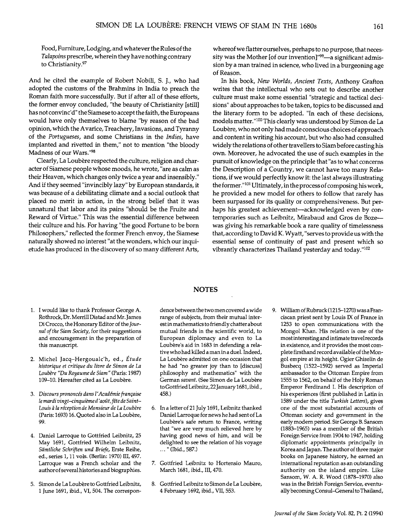Food, Furniture, Lodging, and whatever the Rules of the *Talapoins* prescribe, wherein they have nothing contrary to Christianity.97

And he cited the example of Robert Nobill, S. J., who had adopted the customs of the Brahmins in India to preach the Roman faith more successfully. But if after all of these efforts, the former envoy concluded, "the beauty of Christianity [still] has not convinc'd" the Siamese to accept the faith, the Europeans would have only themselves to blame "by reason of the bad opinion, which the Avarice, Treachery, Invasions, and Tyranny of the *Portugueses,* and some Christians in the *Indies,* have implanted and rivetted in them," not to mention "the bloody Madness of our Wars."9B

Clearly, La Loubere respected the culture, religion and character of Siamese people whose moods, he wrote, "are as calm as their Heaven, which changes only twice a year and insensibly." And if they seemed "invincibly lazy" by European standards, it was because of a debilitating climate and a social outlook that placed no merit in action, in the strong belief that it was unnatural that labor and its pains "should be the Fruite and Reward of Virtue." This was the essential difference between their culture and his. For having "the good Fortune to be born Philosophers," reflected the former French envoy, the Siamese naturally showed no interest "at the wonders, which our inquietude has produced in the discovery of so many different Arts,

whereof we flatter ourselves, perhaps to no purpose, that necessity was the Mother [of our invention]"99-a significant admission by a man trained in science, who lived in a burgeoning age of Reason.

In his book, *New Worlds, Ancient Texts,* Anthony Grafton writes that the intellectual who sets out to describe another culture must make some essential "strategic and tactical decisions" about approaches to be taken, topics to be discussed and the literary form to be adopted. "In each of these decisions, models matter."100 This clearly was understood by Simon de La Loubere, who not only had made conscious choices of approach and content in writing his account, but who also had consulted widely the relations of other travellers to Siam before casting his own. Moreover, he advocated the use of such examples in the pursuit of knowledge on the principle that "as to what concerns the Description of a Country, we cannot have too many Relations, if we would perfectly know it: the last always illustrating the former. "101 Ultimately, in the process of composing his work, he provided a new model for others to follow that rarely has been surpassed for its quality or comprehensiveness. But perhaps his greatest achievement-acknowledged even by contemporaries such as Leibnitz, Mirabaud and Gros de Boze- was giving his remarkable book a rare quality of timelessness that, according to David K. Wyatt, "serves to provide us with the essential sense of continuity of past and present which so vibrantly characterizes Thailand yesterday and today."102

- 1. I would like to thank Professor George A. Rothrock, Dr. Merrill Distad and Mr. James Di Crocco, the Honorary Editor of the *Journal of the Siam Society,* for their suggestions and encouragement in the preparation of this manuscript.
- 2. Michel Jacq-Hergoualc'h, ed., *Etude historique et critique du livre de Simon de* La *Loubere "Du Royaume de Siam"* (Paris: 1987) 109-10. Hereafter cited as La Loubere.
- 3. *Discours prononces dans 1 'Academie frant;aise /e mardi vingt--cinquieme d 'aoiU, fete de Saint-Louis* a *Ia reception de Monsieur de* La *Loubere*  (Paris: 1693) 16. Quoted also in La Loubere, 99.
- 4. Daniel Larroque to Gottfried Leibnitz, 25 May 1691, Gottfried Wilhelm Leibnitz, *Siimtliche Schriften und Briefe,* Erste Reihe, ed., series 1, 11 vols. (Berlin: 1970) III, 497. Larroque was a French scholar and the author of several histories and biographies.
- 5. Simon de La Loubere to Gottfried Leibnitz, 1 June 1691, ibid., VI, 504. The correspon-

**NOTES** 

dence between the two men covered a wide range of subjects, from their mutual interest in mathematics to friendly chatter about mutual friends in the scientific world, to European diplomacy and even to La Loubere's aid in 1683 in defending a relative who had killed a man in a duel. Indeed, La Loubere admitted on one occasion that he had "no greater joy than to [discuss] philosophy and mathematics" with the German *savant.* (See Simon de La Loubere to Gottfried Leibnitz,22January 1681,ibid., 458.)

- 6. In a letter of 21 July 1691, Leibnitz thanked Daniel Larroque for news he had sent of La Loubère's safe return to France, writing that "we are very much relieved here by having good news of him, and will be delighted to see the relation of his voyage ... " (Ibid., 587.)
- 7. Gottfried Leibnitz to Hortensia Mauro, March 1681, ibid., III, 470.
- 8. Gottfried Leibnitz to Simon de La Loubere, 4 February 1692, ibid., VII, 553.
- 9. William of Rubruck (1215-1270) was a Franciscan priest sent by Louis IX of France in 1253 to open communications with the Mongol Khan. His relation is one of the most interesting and intimate travel records in existence, and it provides the most complete firsthand record available of the Mongol empire at its height. Ogier Ghiselin de Busbecq (1522-1592) served as Imperial ambassador to the Ottoman Empire from 1555 to 1562, on behalf of the Holy Roman Emperor Ferdinand I. His description of his experiences (first published in Latin in 1589 under the title *Turkish Letters),* gives one of the most substantial accounts of Ottoman society and government in the early modem period. Sir George B. Sansom (1883-1965) was a member of the British Foreign Service from 1904 to 1947, holding diplomatic appointments principally in Korea and Japan. The author of three major books on Japanese history, he earned an international reputation as an outstanding authority on the island empire. Like Sansom, W. A. R. Wood (1878-1970) also was in the British Foreign Service, eventually becoming Consul-General to Thailand,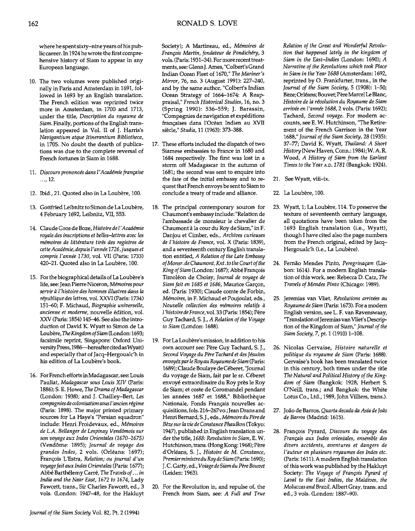lic career. In 1924 he wrote the first compre-<br> *François Martin, fondateur de Pondichéry, 3 tion that happened lately in the kingdom of* hensive history of Siam to appear in any vols. (Paris: 1931–34). For more recent hensive history of Siam to appear in any vols. (Paris: 1931-34). Formorerecenttreat- *Siam in the East-Indies* (London: 1690); *A* 

- 10. The two volumes were published origi- *Mirror,* 76, no. 3 (August 1991): 227-240, reprinted by 0. Frankfurter, trans., in the nally in Paris and Amsterdam in 1691, fol- and by the same author, "Colbert's Indian *Journal of the Siam Society,* 5 (1908): 1-50; lowed in 1693 by an English translation. Coean Strategy of 1664–1674: A Reap- Bèze; Orléans; Bouvet; PèreMarcel Le Blanc, Coean Strategy of 1664–1674: A Reap- Bèze; Orléans; Bouvet; PèreMarcel Le Blanc, The French edition The French edition was reprinted twice praisal," *French Historical Studies,* 16, no. 3 *Histoire de Ia revolution du Royaume de Siam*  more in Amsterdam, in 1700 and 1713, (Spring 1990): 536-559; J. Barassin, *arrivee en l'annee* 1688,2 vols. (Paris: 1692); under the title, *Description du royaume de* "Compagnies de navigation et expeditions Tachard, *Second voyage.* For modem ac-*Siam.* Finally, portions of the English trans-<br>
lation appeared in Vol. II of I. Harris's siècle." *Studia*, 11 (1963): 373–388. The Retire-ment of the French Garrison in the Year lation appeared in Vol. II of J. Harris's siècle," *Studia*, 11 (1963): 373–388. ment of the French Garrison in the Year<br>Navigantium atque Itinerantium Bibliotheca, *Navigantium atque Itinerantium Bibliotheca,* 1688," *Journal of the Siam Society,* 28 (1935):
- 11. *Discours prononces dans* I *'Academie fram;aise* 1681; the second was sent to enquire into
- 
- 13. Gottfried Leibnitz to Simon de La Loubère, 18. The principal contemporary sources for 23. Wyatt, 1; La Loubère, 114. To preserve the 4 February 1692, Leibnitz, VII, 553. Chaumont's embassy include: "Relation de texture
- 14. Claude Gros de Boze, *Histoire de l'Académie*
- 15. For the biographical details of La Loubere's Timoleon de Choisy, *Journal de voyage de* tion of this work, see: Rebecca D. Catz, *The*  Loubère, The Kingdom of Siam (London: 1693;
- 

where he spent sixty-nine years of his pub-<br>
liccareer. In 1924 he wrote the first compre-<br> *François Martin, fondateur de Pondichéry*, 3 tion that happened lately in the kingdom of ments, see: Glenn J. Ames, "Colbert's Grand *Narrative of the Revolutions which took Place* Indian Ocean Fleet of 1670." The Mariner's *in Siam in the Year 1688* (Amsterdam: 1692, Indian Ocean Fleet of 1670," *The Mariner's in Siam in the Year* 1688 (Amsterdam: 1692,

- in 1705. No doubt the dearth of publica- 17. These efforts included the dispatch of two tions was due to the complete reversal of Siamese embassies to France in 1680 and tions was due to the complete reversal of Siamese embassies to France in 1680 and *History* (New Haven, Conn.: 1984); W. A. R.<br>French fortunes in Siam in 1688. 1684 respectively. The first was lost in a Wood, A History of 1684 respectively. The first was lost in a Wood, *A History of Siam from the Earliest* storm off Madagascar in the autumn of *Times to the Year A.D.* 1781 (Bangkok: 1924). ..., 12. the fate of the initial embassy and to re- 21. See Wyatt, viii-ix. quest that French envoys be sent to Siam to 12. Ibid., 21. Quoted also in La Loubere, 100. conclude a treaty of trade and alliance. 22. La Loubere, 100.
	- *de l'histoire de France, vol. X (Paris: 1839),* from the French original, edite and a seventeenth century English transla-<br>Hergoualc'h (i.e., La Loubère). *cette Académie, depuis l'année 1726, jusques et* and a seventeenth century English translacompris *l'année 1730*, vol. VII (Paris: 1733) tion entitled, *A Relation of the Late Embassy compris l'annee* 1730, vol. VII (Paris: 1733) tion entitled, *A Relation of the Late Embassy*  life, see: Jean Pierre Niceron, *Mémoires pour Siam fait en 1685 et 1686*, Maurice Garçon, *servir* a I *'histoire des hommes illustres dans Ia* ed. (Paris: 1930); Claude comte de Forbin, *republique des lettres,* vol. XXVI (Paris: 1734) *Memoires,* in F. Michaud et Poujoulat, eds., 25. Jeremias van Vliet, *Revolutions arrivees au*  151-60; F. Michaud, *Biographie universelle, Nouvelle collection des memoires relatifs* a *Royaume de Siam* (Paris: 1673). For a modem *ancienne et moderne,* nouvelle edition, vol. I *'histoirede France,* vol. 33 (Paris: 1854); Pere English version, see L. F. van Ravenswaay, Guy Tachard, S. J., *A Relation of the Voyage*
	- facsimile reprint, Singapore: Oxford Uni- 19. For La Loubere's mission, in addition to his versity Press, 1986-hereaftercitedas Wyatt) own account see: Pere Guy Tachard, S. J., 26. Nicolas Gervaise, *Histoire naturelle et compagnies de colonisation sous l'ancien régime* Nationale, Fonds Français nouvelles ac-(Paris: 1898). The major printed primary quisitions, fols. 216–267vo.;Jean Drans and 27. João de Barros, *Quarta decada da Asia de João* sources for La Haye's "Persian squadron" Henri Bernard, S. J., eds., *Mémoire du Père* sources for La Haye's "Persian squadron" *HenriBemard,S.J.,eds.,MemoireduPerede de Barros* (Madrid: 1615). include: Henri Froidevaux, ed., *Memoires Beze sur Ia vie de Constance Phaulkon* (Tokyo: *de* L.A. *Bellanger de Lespinay Vendomois sur* 1947), published in English translation un- 28. Franc;ois Pyrard, *Discours du voyage des grandes Indes, 2* vols. (Orléans: 1697); d'Orléans, S. J., *Histoire de M. Constance,* François L'Estra, *Relation*; *ou journal d'un Premier ministre du Roy de Siam* (Paris: 1690);
	- vols. (London: 1947-48, for the Hakluyt French from Siam, see: *A Full and True* ed., 3 vols. (London: 1887-90).

Times to the Year A.D. 1781 (Bangkok: 1924).

- 
- 
- 4 February 1692, Leibnitz, VII, 553. Chaumont's embassy include: "Relation de texture of seventeenth century language, l'ambassade de monsieur le chevalier de all quotations have been taken from the Chaumont à la cour du Roy de Siam," in F. 1693 English translation (i.e., Wyatt), *royale des inscriptions et belles-lettres avec les* Danjou et Cimber, eds., *Archives curieuses* though I have cited also the page numbers
	- of Monsr. de Chaumont, Knt. to the Court of the 24. Fernão Mendes Pinto, Peregrinaçam (Lis-<br>King of Siam (London: 1687); Abbé François bon: 1614). For a modern English transla-*King of Siam (London: 1687); Abbé François* bon: 1614). For a modern English transla-<br>Timoléon de Choisy, Journal de voyage de tion of this work, see: Rebecca D. Catz, The
- duction of David K. Wyatt to Simon de La *to Siam* (London: 1688). tion of the Kingdom of Siam," *Journal of the*<br>Loubère, The Kingdom of Siam (London: 1693; Siam Society, 7, pt. 1 (1910) 1–108.
- Second Voyage du Père Tachard et des Jésuites politique du royaume de Siam (Paris: 1688). his edition of La Loubere's book. *envoyez par leRoy au Royaume de Siam* (Paris: Gervaise's book has been translated twice in this century, both times under the title 16. For French efforts in Madagascar, see: Louis du voyage de Siam, fait par le sr. Ceberet *The Natural and Political History of the King-*Pauliat, *Madagascar sous Louis XIV* (Paris: envoye extraordinaire du Roy pres le Roy *dom of Siam* (Bangkok: 1928, Herbert S. 0'Neill, trans.; and Bangkok: the White (London: 1938); and J. Chailley-Bert, *Les* les annees 1687 et 1688," Bibliotheque Lotus Co., Ltd., 1989, John Villiers, trans.).
	-
	- *son voyage aux Indes Orientales* (1670-1675) der the title, 1688: *Revolution in Siam,* E. W. *Franr;ais aux Indes orientales, ensemble des*  (Vendome: 1895); *Journal de voyage des* Hutchinson, trans. (Hong Kong: 1968); Pere *divers accidents, aventures et dangers de*  Franc;ois L'Estra, *Relation; ou journal d'un Premierministre du Roy de Siam* (Paris: 1690); (Paris: 1611 ). A modem English translation *voyage fait aux Indes Orientales (Paris: 1677);* J.C. Gatty, ed., *Voiage de Siam du Père Bouvet* of this work was published by the Hakluyt Abbé Barthélemy Carré, The Travels of ... in (Leiden: 1963). Society: The Voyage Abbe Barthelemy Carre, *The Travels of ... in* (Leiden: 1963). Society: *The Voyage of* Fran~ois *Pyrard of India and the Near East,* 1672 *to* 1674, Lady *Laval to the East Indies, the Maldives, the*  Fawcett, trans., Sir Charles Fawcett, ed., 3 20. For the Revolution in, and repulse of, the *Moluccas and Brazil,* Albert Gray, trans. and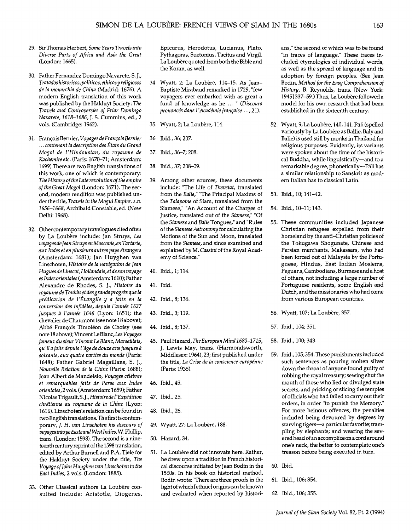- 29. Sir Thomas Herbert, *Some Years Travels into* Epicurus, Herodotus, Lucianus, Plato, ans," the second of which was to be found *Diverse Parts of Africa and Asia the Great* Pythagoras, Suetonius, Tacitus and Virgil. "in traces of language." These traces in-
- 30. Father Fernandez Domingo Navarete, S. J.,<br>Tratados historicos, politicos, ethicos y religiosos 34. Wyatt, 2; La Loubère, 114–15. As Jean- Bodin, Method for the Easy Comprehension of *Travels and Controversies of Friar Domingo Navarete, 1618-1686,* J. S. Cummins, ed., 2
- 1699) There are two English translations of 38. Ibid., 37; 208-09.
- 32. Other contemporary travelogues cited often of the *Siamese Astronomy* for calculating the by La Loubère include: Jan Struys, Les Motions of the Sun and Moon, translated (Amsterdam: 1681); Jan Huyghen van emy of Science."<br>Linschoten, Histoire de la navigation de Jean *Hugues de Linscot, Hollandais, et de son voyage* 40. Ibid., 1; 114. *prédication de l'Évangile y a faits en la* 42. Ibid., 8; 136. **finites** from various European countries. *conversion des infideles, depuis l'annee 1627 jusques* a *l'annee 1646* (Lyon: 1651); the 43. Ibid., 3; 119. 56. Wyatt, 107; La Loubere, 357. chevalier de Chaumont (see note 18 above); Abbé François Timoléon de Choisy (see 44. Ibid., 8; 137. 57. 57. Ibid., 104; 351. note 18 above); Vincent LeBlanc, *Les Voyages fameux du sieur Vincent Le Blanc,Marseillais,* 45. Paul Hazard, *The European Mind 1680-1715,* 58. Ibid., 100; 343. 1648); Father Gabriel Magaillans, S. J., 1616). Linschoten's relation can be found in 48. Ibid., 26. porary, J. *H. van Linschoten his discours of* 49. Wyatt, 27; La Loubère, 188. edited by Arthur Burnell and P.A. Tiele for 51. La Loubère did not innovate here. Rather, reason before being executed in turn.
- suited include: Aristotle, Diogenes, and evaluated when reported by histori- 62. Ibid., 106; 355.

- *Tratados historicos, politicos, ethicos y religiosos* 34. Wyatt, 2; La Loubere, 114-15. As Jean- Bodin, *Method for the Easy Comprehension of de Ia monarchia de China* (Madrid: 1676). A Baptiste Mirabaud remarked in 1729, "few *History,* B. Reynolds, trans. [New York: modern English translation of this work voyagers ever embarked with as great a 1945 was published by the Hakluyt Society: The fund of knowledge as he ... " (Discours fund of knowledge as he ... " *(Discours* model for his own research that had been<br>*prononcés dans l'Académie française* ..., 21). established in the sixteenth century.
	-
	-
	-
	-
- *The History of the Late revolution of the empire* 39. Among other sources, these documents em Italian has to classical Latin. *of the Great Mogol (London: 1671).* The sec- include: "The Life of *Thevetat, translated* ond, modern rendition was published un- from the *Balie*," "The Principal Maxims of ond, modem rendition was published un- from the *Balie,"* "The Principal Maxims of 53. Ibid., 10; 141-42. der the title, *Travels in the Mogul Empire. A.D.* the *Talapoine* of Siam, translated from the 1656–1668, Archibald Constable, ed. (New Siamese," "An Account of the Charges of Siamese," "An Account of the Charges of 54. Ibid., 10-11; 143. Delhi: 1968). Justice, translated out of the *Siamese,"* "Of
	-
	-
	-
	-
	-
- *qu 'il a faits depuis l'dge de douze ans jusques* a J. Lewis May, trans. (Harmondsworth, *Middlesex: 1964), 23; first published under* 59. Ibid., 105; 354. These punishments included the title, *La Crise de la conscience europénne* such sentences as pouring molten silver *Nouvelle Relation de Ia Chine* (Paris: 1688); (Paris: 1935). down the throat of anyone found guilty of
	-
	-
	-
	-
	-
- the Hakluyt Society under the title, *The* he drew upon a tradition in French histori-*Voyage of John Huyghen van Linschoten to the* cal discourse initiated by Jean Bodin in the 60. Ibid. *East Indies,* 2 vols. (London: 1885). 1560s. In his book on historical method, Bodin wrote: "There are three proofs in the 61. Ibid., 106; 354. 33. Other Classical authors La Loubere con- light of which [ethnic] origins can be known

La Loubère quoted from both the Bible and eluded etymologies of individual words,<br>the Koran, as well. es well as the spread of language and its as well as the spread of language and its

- vols. (Cambridge: 1962). 35. Wyatt, 2; La Loubere, 114. 52. Wyatt, 9; La Loubere, 140,141. Pali (spelled variously by La Loubere as Bailie, Baly and 31. François Bernier, *Voyages de François Bernier* 36. Ibid., 36; 207. Balie) is used still by monks in Thailand for<br>contenant la description des États du Grand... ... *contenant Ia description des* F. *tats du Grand* religious purposes. Evidently, its variants *Mogol de l'Hindoustan, du royaume de* 37. Ibid., 36-7; 208. were spoken about the time of the histori-*Kachemire etc.* (Paris: 1670-71; Amsterdam: cal Buddha, while linguistically-and to a this work, one of which is contemporary: a similar relationship to Sanskrit as mod-
	-
	-
	- the *Siamese* and *Balie* Tongues," and "Rules 55. These communities included Japanese of the *Siamese Astronomy* for calculating the Christian refugees expelled from their homeland by the anti-Christian policies of *voyages de Jean Struys enMoscovie, en Tartarie,* from the *Siamese,* and since examined and the Tokugawa Shogunate, Chinese and *Persian merchants, Makassars, who had* been forced out of Malaysia by the Portuguese, *Hindus, East Indian Moslems,*<br>Peguans, Cambodians, Burmese and a host es*Indesorientales* (Amsterdam: 1610);Father of others, not including a large number of others, not including a large number of  $\Delta$ Alexandre de Rhodes, S. J., *Histoire du* 41. Ibid. Portuguese residents, some English and *royaume de Tonkin et des grands progrès que la* **Dutch de la progressionaries who had come Dutch, and the missionaries who had come** 
		-
		-
		-
	- Jean Albert de Mandelslo, *Voyages celebres* robbing the royal treasury; sewing shut the *et remarquables faits de Perse aux Indes* 46. Ibid., 45. mouth of those who lied or divulged state in the orientales. 2 vols. (Amsterdam: 1659): Father and pricking or slicing the temples *orientales, 2* vols. (Amsterdam: 1659); Father secrets; and pricking or slicing the temples<br>Nicolas Trigault, S. I., *Histoirede l'Expédition* 47. Ibid., 25. *NicolasTrigault,S.J.,Histoiredel'Expédition* 47. Ibid., 25. **on the communist of original of original of original of original of original of original of original of original of original christopher christopher christopher** *chretienne au royaume de Ia Chine* (Lyon: orders, in order "to punish the Memory." two English translations. The first is contem-<br>1998 porary, J. H. van Linschoten his discours of 49. Wyatt, 27; La Loubère, 188. The monomore starving tigers—a particular favorite; tram*voyages intoye Easteand West Indies, W. Phillip,* piing by elephants; and wearing the sevtrans. (London: 1598). The second is a nine- 50. Hazard, 34. ered head of an accomplice on a cord around teenth centuryreprintofthe 1598 translation, one's neck, the better to contemplate one's
		-
		-
		-